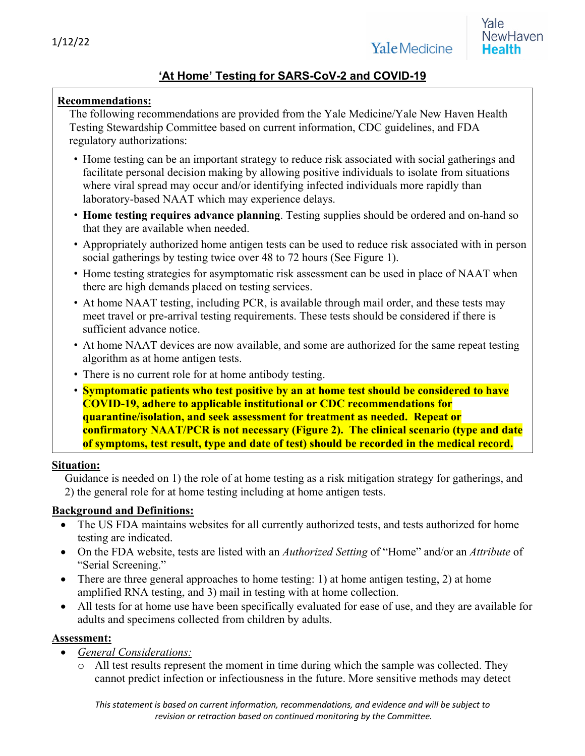# **'At Home' Testing for SARS-CoV-2 and COVID-19**

### **Recommendations:**

The following recommendations are provided from the Yale Medicine/Yale New Haven Health Testing Stewardship Committee based on current information, CDC guidelines, and FDA regulatory authorizations:

- Home testing can be an important strategy to reduce risk associated with social gatherings and facilitate personal decision making by allowing positive individuals to isolate from situations where viral spread may occur and/or identifying infected individuals more rapidly than laboratory-based NAAT which may experience delays.
- **Home testing requires advance planning**. Testing supplies should be ordered and on-hand so that they are available when needed.
- Appropriately authorized home antigen tests can be used to reduce risk associated with in person social gatherings by testing twice over 48 to 72 hours (See Figure 1).
- Home testing strategies for asymptomatic risk assessment can be used in place of NAAT when there are high demands placed on testing services.
- At home NAAT testing, including PCR, is available through mail order, and these tests may meet travel or pre-arrival testing requirements. These tests should be considered if there is sufficient advance notice.
- At home NAAT devices are now available, and some are authorized for the same repeat testing algorithm as at home antigen tests.
- There is no current role for at home antibody testing.
- **Symptomatic patients who test positive by an at home test should be considered to have COVID-19, adhere to applicable institutional or CDC recommendations for quarantine/isolation, and seek assessment for treatment as needed. Repeat or confirmatory NAAT/PCR is not necessary (Figure 2). The clinical scenario (type and date of symptoms, test result, type and date of test) should be recorded in the medical record.**

#### **Situation:**

Guidance is needed on 1) the role of at home testing as a risk mitigation strategy for gatherings, and 2) the general role for at home testing including at home antigen tests.

### **Background and Definitions:**

- The US FDA maintains websites for all currently authorized tests, and tests authorized for home testing are indicated.
- On the FDA website, tests are listed with an *Authorized Setting* of "Home" and/or an *Attribute* of "Serial Screening."
- There are three general approaches to home testing: 1) at home antigen testing, 2) at home amplified RNA testing, and 3) mail in testing with at home collection.
- All tests for at home use have been specifically evaluated for ease of use, and they are available for adults and specimens collected from children by adults.

#### **Assessment:**

- *General Considerations:*
	- o All test results represent the moment in time during which the sample was collected. They cannot predict infection or infectiousness in the future. More sensitive methods may detect

*This statement is based on current information, recommendations, and evidence and will be subject to revision or retraction based on continued monitoring by the Committee.*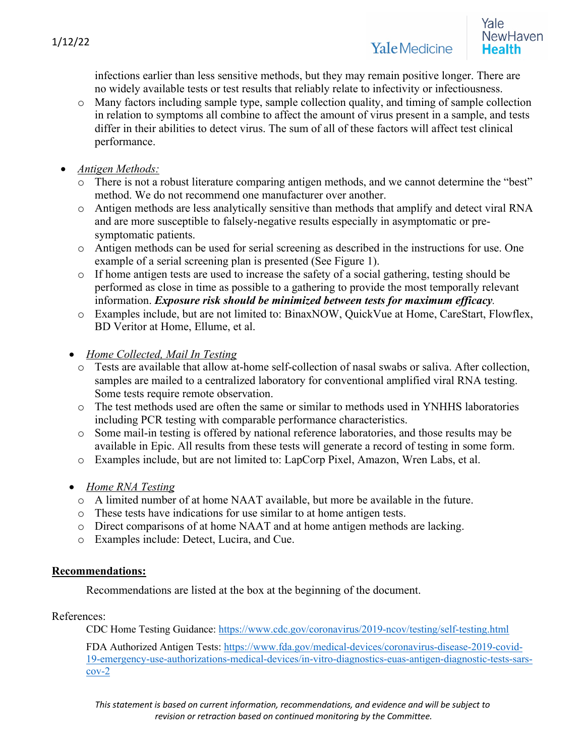infections earlier than less sensitive methods, but they may remain positive longer. There are no widely available tests or test results that reliably relate to infectivity or infectiousness.

- o Many factors including sample type, sample collection quality, and timing of sample collection in relation to symptoms all combine to affect the amount of virus present in a sample, and tests differ in their abilities to detect virus. The sum of all of these factors will affect test clinical performance.
- *Antigen Methods:*
	- o There is not a robust literature comparing antigen methods, and we cannot determine the "best" method. We do not recommend one manufacturer over another.
	- o Antigen methods are less analytically sensitive than methods that amplify and detect viral RNA and are more susceptible to falsely-negative results especially in asymptomatic or presymptomatic patients.
	- o Antigen methods can be used for serial screening as described in the instructions for use. One example of a serial screening plan is presented (See Figure 1).
	- o If home antigen tests are used to increase the safety of a social gathering, testing should be performed as close in time as possible to a gathering to provide the most temporally relevant information. *Exposure risk should be minimized between tests for maximum efficacy.*
	- o Examples include, but are not limited to: BinaxNOW, QuickVue at Home, CareStart, Flowflex, BD Veritor at Home, Ellume, et al.
	- *Home Collected, Mail In Testing*
		- o Tests are available that allow at-home self-collection of nasal swabs or saliva. After collection, samples are mailed to a centralized laboratory for conventional amplified viral RNA testing. Some tests require remote observation.
		- o The test methods used are often the same or similar to methods used in YNHHS laboratories including PCR testing with comparable performance characteristics.
		- o Some mail-in testing is offered by national reference laboratories, and those results may be available in Epic. All results from these tests will generate a record of testing in some form.
		- o Examples include, but are not limited to: LapCorp Pixel, Amazon, Wren Labs, et al.
	- *Home RNA Testing*
		- o A limited number of at home NAAT available, but more be available in the future.
		- o These tests have indications for use similar to at home antigen tests.
		- o Direct comparisons of at home NAAT and at home antigen methods are lacking.
		- o Examples include: Detect, Lucira, and Cue.

## **Recommendations:**

Recommendations are listed at the box at the beginning of the document.

References:

CDC Home Testing Guidance: https://www.cdc.gov/coronavirus/2019-ncov/testing/self-testing.html

FDA Authorized Antigen Tests: https://www.fda.gov/medical-devices/coronavirus-disease-2019-covid-19-emergency-use-authorizations-medical-devices/in-vitro-diagnostics-euas-antigen-diagnostic-tests-sarscov-2

*This statement is based on current information, recommendations, and evidence and will be subject to revision or retraction based on continued monitoring by the Committee.*